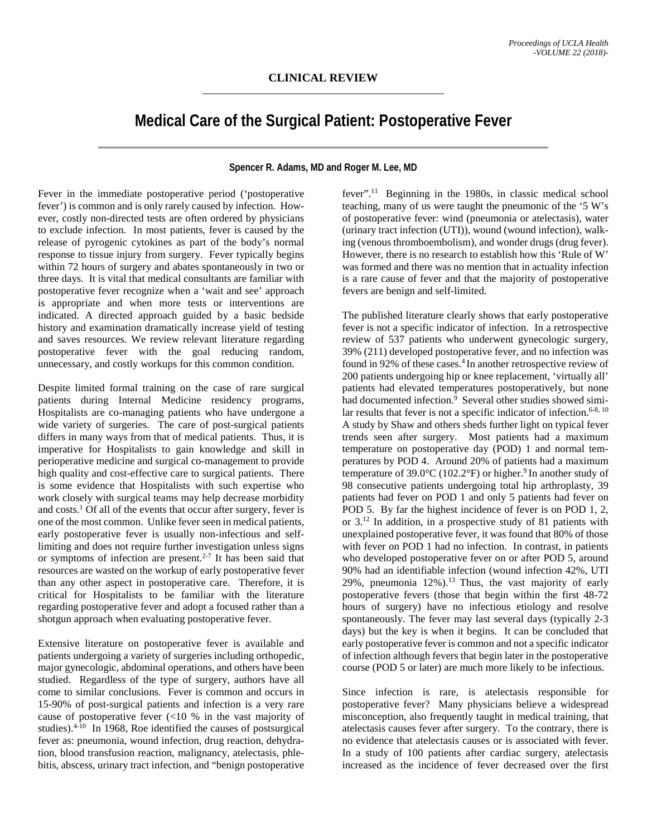## **Medical Care of the Surgical Patient: Postoperative Fever**

**Spencer R. Adams, MD and Roger M. Lee, MD**

Fever in the immediate postoperative period ('postoperative fever') is common and is only rarely caused by infection. However, costly non-directed tests are often ordered by physicians to exclude infection. In most patients, fever is caused by the release of pyrogenic cytokines as part of the body's normal response to tissue injury from surgery. Fever typically begins within 72 hours of surgery and abates spontaneously in two or three days. It is vital that medical consultants are familiar with postoperative fever recognize when a 'wait and see' approach is appropriate and when more tests or interventions are indicated. A directed approach guided by a basic bedside history and examination dramatically increase yield of testing and saves resources. We review relevant literature regarding postoperative fever with the goal reducing random, unnecessary, and costly workups for this common condition.

Despite limited formal training on the case of rare surgical patients during Internal Medicine residency programs, Hospitalists are co-managing patients who have undergone a wide variety of surgeries. The care of post-surgical patients differs in many ways from that of medical patients. Thus, it is imperative for Hospitalists to gain knowledge and skill in perioperative medicine and surgical co-management to provide high quality and cost-effective care to surgical patients. There is some evidence that Hospitalists with such expertise who work closely with surgical teams may help decrease morbidity and  $costs<sup>1</sup>$  Of all of the events that occur after surgery, fever is one of the most common. Unlike fever seen in medical patients, early postoperative fever is usually non-infectious and selflimiting and does not require further investigation unless signs or symptoms of infection are present.<sup>2-7</sup> It has been said that resources are wasted on the workup of early postoperative fever than any other aspect in postoperative care. Therefore, it is critical for Hospitalists to be familiar with the literature regarding postoperative fever and adopt a focused rather than a shotgun approach when evaluating postoperative fever.

Extensive literature on postoperative fever is available and patients undergoing a variety of surgeries including orthopedic, major gynecologic, abdominal operations, and others have been studied. Regardless of the type of surgery, authors have all come to similar conclusions. Fever is common and occurs in 15-90% of post-surgical patients and infection is a very rare cause of postoperative fever (<10 % in the vast majority of studies).<sup>4-10</sup> In 1968, Roe identified the causes of postsurgical fever as: pneumonia, wound infection, drug reaction, dehydration, blood transfusion reaction, malignancy, atelectasis, phlebitis, abscess, urinary tract infection, and "benign postoperative

fever".<sup>11</sup> Beginning in the 1980s, in classic medical school teaching, many of us were taught the pneumonic of the '5 W's of postoperative fever: wind (pneumonia or atelectasis), water (urinary tract infection (UTI)), wound (wound infection), walking (venous thromboembolism), and wonder drugs (drug fever). However, there is no research to establish how this 'Rule of W' was formed and there was no mention that in actuality infection is a rare cause of fever and that the majority of postoperative fevers are benign and self-limited.

The published literature clearly shows that early postoperative fever is not a specific indicator of infection. In a retrospective review of 537 patients who underwent gynecologic surgery, 39% (211) developed postoperative fever, and no infection was found in 92% of these cases.<sup>4</sup> In another retrospective review of 200 patients undergoing hip or knee replacement, 'virtually all' patients had elevated temperatures postoperatively, but none had documented infection.<sup>9</sup> Several other studies showed similar results that fever is not a specific indicator of infection.<sup>6-8, 10</sup> A study by Shaw and others sheds further light on typical fever trends seen after surgery. Most patients had a maximum temperature on postoperative day (POD) 1 and normal temperatures by POD 4. Around 20% of patients had a maximum temperature of  $39.0^{\circ}$ C (102.2°F) or higher.<sup>9</sup> In another study of 98 consecutive patients undergoing total hip arthroplasty, 39 patients had fever on POD 1 and only 5 patients had fever on POD 5. By far the highest incidence of fever is on POD 1, 2, or 3.12 In addition, in a prospective study of 81 patients with unexplained postoperative fever, it was found that 80% of those with fever on POD 1 had no infection. In contrast, in patients who developed postoperative fever on or after POD 5, around 90% had an identifiable infection (wound infection 42%, UTI 29%, pneumonia  $12\%$ ).<sup>13</sup> Thus, the vast majority of early postoperative fevers (those that begin within the first 48-72 hours of surgery) have no infectious etiology and resolve spontaneously. The fever may last several days (typically 2-3 days) but the key is when it begins. It can be concluded that early postoperative fever is common and not a specific indicator of infection although fevers that begin later in the postoperative course (POD 5 or later) are much more likely to be infectious.

Since infection is rare, is atelectasis responsible for postoperative fever? Many physicians believe a widespread misconception, also frequently taught in medical training, that atelectasis causes fever after surgery. To the contrary, there is no evidence that atelectasis causes or is associated with fever. In a study of 100 patients after cardiac surgery, atelectasis increased as the incidence of fever decreased over the first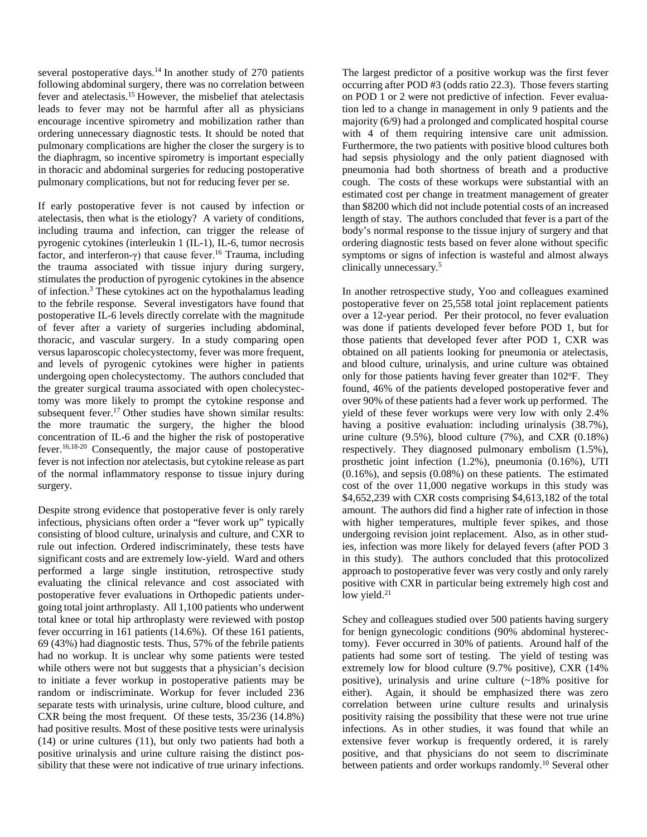several postoperative days.<sup>14</sup> In another study of 270 patients following abdominal surgery, there was no correlation between fever and atelectasis.15 However, the misbelief that atelectasis leads to fever may not be harmful after all as physicians encourage incentive spirometry and mobilization rather than ordering unnecessary diagnostic tests. It should be noted that pulmonary complications are higher the closer the surgery is to the diaphragm, so incentive spirometry is important especially in thoracic and abdominal surgeries for reducing postoperative pulmonary complications, but not for reducing fever per se.

If early postoperative fever is not caused by infection or atelectasis, then what is the etiology? A variety of conditions, including trauma and infection, can trigger the release of pyrogenic cytokines (interleukin 1 (IL-1), IL-6, tumor necrosis factor, and interferon-γ) that cause fever.<sup>16</sup> Trauma, including the trauma associated with tissue injury during surgery, stimulates the production of pyrogenic cytokines in the absence of infection.3 These cytokines act on the hypothalamus leading to the febrile response. Several investigators have found that postoperative IL-6 levels directly correlate with the magnitude of fever after a variety of surgeries including abdominal, thoracic, and vascular surgery. In a study comparing open versus laparoscopic cholecystectomy, fever was more frequent, and levels of pyrogenic cytokines were higher in patients undergoing open cholecystectomy. The authors concluded that the greater surgical trauma associated with open cholecystectomy was more likely to prompt the cytokine response and subsequent fever.<sup>17</sup> Other studies have shown similar results: the more traumatic the surgery, the higher the blood concentration of IL-6 and the higher the risk of postoperative fever.16,18-20 Consequently, the major cause of postoperative fever is not infection nor atelectasis, but cytokine release as part of the normal inflammatory response to tissue injury during surgery.

Despite strong evidence that postoperative fever is only rarely infectious, physicians often order a "fever work up" typically consisting of blood culture, urinalysis and culture, and CXR to rule out infection. Ordered indiscriminately, these tests have significant costs and are extremely low-yield. Ward and others performed a large single institution, retrospective study evaluating the clinical relevance and cost associated with postoperative fever evaluations in Orthopedic patients undergoing total joint arthroplasty. All 1,100 patients who underwent total knee or total hip arthroplasty were reviewed with postop fever occurring in 161 patients (14.6%). Of these 161 patients, 69 (43%) had diagnostic tests. Thus, 57% of the febrile patients had no workup. It is unclear why some patients were tested while others were not but suggests that a physician's decision to initiate a fever workup in postoperative patients may be random or indiscriminate. Workup for fever included 236 separate tests with urinalysis, urine culture, blood culture, and CXR being the most frequent. Of these tests, 35/236 (14.8%) had positive results. Most of these positive tests were urinalysis (14) or urine cultures (11), but only two patients had both a positive urinalysis and urine culture raising the distinct possibility that these were not indicative of true urinary infections.

The largest predictor of a positive workup was the first fever occurring after POD #3 (odds ratio 22.3). Those fevers starting on POD 1 or 2 were not predictive of infection. Fever evaluation led to a change in management in only 9 patients and the majority (6/9) had a prolonged and complicated hospital course with 4 of them requiring intensive care unit admission. Furthermore, the two patients with positive blood cultures both had sepsis physiology and the only patient diagnosed with pneumonia had both shortness of breath and a productive cough. The costs of these workups were substantial with an estimated cost per change in treatment management of greater than \$8200 which did not include potential costs of an increased length of stay. The authors concluded that fever is a part of the body's normal response to the tissue injury of surgery and that ordering diagnostic tests based on fever alone without specific symptoms or signs of infection is wasteful and almost always clinically unnecessary.5

In another retrospective study, Yoo and colleagues examined postoperative fever on 25,558 total joint replacement patients over a 12-year period. Per their protocol, no fever evaluation was done if patients developed fever before POD 1, but for those patients that developed fever after POD 1, CXR was obtained on all patients looking for pneumonia or atelectasis, and blood culture, urinalysis, and urine culture was obtained only for those patients having fever greater than 102°F. They found, 46% of the patients developed postoperative fever and over 90% of these patients had a fever work up performed. The yield of these fever workups were very low with only 2.4% having a positive evaluation: including urinalysis (38.7%), urine culture  $(9.5\%)$ , blood culture  $(7\%)$ , and CXR  $(0.18\%)$ respectively. They diagnosed pulmonary embolism (1.5%), prosthetic joint infection (1.2%), pneumonia (0.16%), UTI (0.16%), and sepsis (0.08%) on these patients. The estimated cost of the over 11,000 negative workups in this study was \$4,652,239 with CXR costs comprising \$4,613,182 of the total amount. The authors did find a higher rate of infection in those with higher temperatures, multiple fever spikes, and those undergoing revision joint replacement. Also, as in other studies, infection was more likely for delayed fevers (after POD 3 in this study). The authors concluded that this protocolized approach to postoperative fever was very costly and only rarely positive with CXR in particular being extremely high cost and low yield. $21$ 

Schey and colleagues studied over 500 patients having surgery for benign gynecologic conditions (90% abdominal hysterectomy). Fever occurred in 30% of patients. Around half of the patients had some sort of testing. The yield of testing was extremely low for blood culture (9.7% positive), CXR (14% positive), urinalysis and urine culture (~18% positive for either). Again, it should be emphasized there was zero correlation between urine culture results and urinalysis positivity raising the possibility that these were not true urine infections. As in other studies, it was found that while an extensive fever workup is frequently ordered, it is rarely positive, and that physicians do not seem to discriminate between patients and order workups randomly.<sup>10</sup> Several other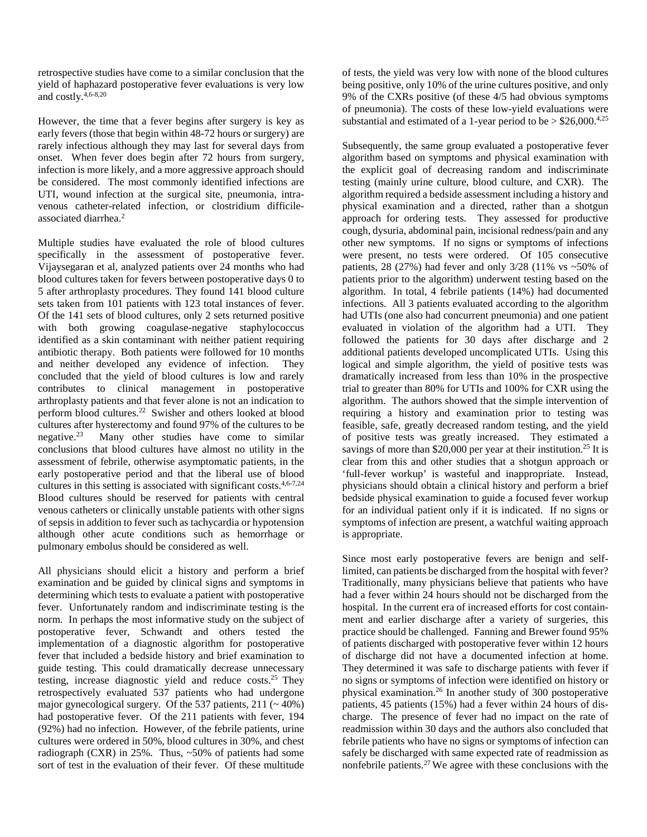retrospective studies have come to a similar conclusion that the yield of haphazard postoperative fever evaluations is very low and costly.4,6-8,20

However, the time that a fever begins after surgery is key as early fevers (those that begin within 48-72 hours or surgery) are rarely infectious although they may last for several days from onset. When fever does begin after 72 hours from surgery, infection is more likely, and a more aggressive approach should be considered. The most commonly identified infections are UTI, wound infection at the surgical site, pneumonia, intravenous catheter-related infection, or clostridium difficileassociated diarrhea.2

Multiple studies have evaluated the role of blood cultures specifically in the assessment of postoperative fever. Vijaysegaran et al, analyzed patients over 24 months who had blood cultures taken for fevers between postoperative days 0 to 5 after arthroplasty procedures. They found 141 blood culture sets taken from 101 patients with 123 total instances of fever. Of the 141 sets of blood cultures, only 2 sets returned positive with both growing coagulase-negative staphylococcus identified as a skin contaminant with neither patient requiring antibiotic therapy. Both patients were followed for 10 months and neither developed any evidence of infection. They concluded that the yield of blood cultures is low and rarely contributes to clinical management in postoperative arthroplasty patients and that fever alone is not an indication to perform blood cultures.22 Swisher and others looked at blood cultures after hysterectomy and found  $97\%$  of the cultures to be negative.<sup>23</sup> Many other studies have come to similar Many other studies have come to similar conclusions that blood cultures have almost no utility in the assessment of febrile, otherwise asymptomatic patients, in the early postoperative period and that the liberal use of blood cultures in this setting is associated with significant costs.4,6-7,24 Blood cultures should be reserved for patients with central venous catheters or clinically unstable patients with other signs of sepsis in addition to fever such as tachycardia or hypotension although other acute conditions such as hemorrhage or pulmonary embolus should be considered as well.

All physicians should elicit a history and perform a brief examination and be guided by clinical signs and symptoms in determining which tests to evaluate a patient with postoperative fever. Unfortunately random and indiscriminate testing is the norm. In perhaps the most informative study on the subject of postoperative fever, Schwandt and others tested the implementation of a diagnostic algorithm for postoperative fever that included a bedside history and brief examination to guide testing. This could dramatically decrease unnecessary testing, increase diagnostic yield and reduce costs.25 They retrospectively evaluated 537 patients who had undergone major gynecological surgery. Of the 537 patients,  $211$  ( $\sim$  40%) had postoperative fever. Of the 211 patients with fever, 194 (92%) had no infection. However, of the febrile patients, urine cultures were ordered in 50%, blood cultures in 30%, and chest radiograph (CXR) in 25%. Thus, ~50% of patients had some sort of test in the evaluation of their fever. Of these multitude

of tests, the yield was very low with none of the blood cultures being positive, only 10% of the urine cultures positive, and only 9% of the CXRs positive (of these 4/5 had obvious symptoms of pneumonia). The costs of these low-yield evaluations were substantial and estimated of a 1-year period to be  $> $26,000.<sup>4,25</sup>$ 

Subsequently, the same group evaluated a postoperative fever algorithm based on symptoms and physical examination with the explicit goal of decreasing random and indiscriminate testing (mainly urine culture, blood culture, and CXR). The algorithm required a bedside assessment including a history and physical examination and a directed, rather than a shotgun approach for ordering tests. They assessed for productive cough, dysuria, abdominal pain, incisional redness/pain and any other new symptoms. If no signs or symptoms of infections were present, no tests were ordered. Of 105 consecutive patients, 28 (27%) had fever and only  $3/28$  (11% vs ~50% of patients prior to the algorithm) underwent testing based on the algorithm. In total, 4 febrile patients (14%) had documented infections. All 3 patients evaluated according to the algorithm had UTIs (one also had concurrent pneumonia) and one patient evaluated in violation of the algorithm had a UTI. They followed the patients for 30 days after discharge and 2 additional patients developed uncomplicated UTIs. Using this logical and simple algorithm, the yield of positive tests was dramatically increased from less than 10% in the prospective trial to greater than 80% for UTIs and 100% for CXR using the algorithm. The authors showed that the simple intervention of requiring a history and examination prior to testing was feasible, safe, greatly decreased random testing, and the yield of positive tests was greatly increased. They estimated a savings of more than \$20,000 per year at their institution.<sup>25</sup> It is clear from this and other studies that a shotgun approach or 'full-fever workup' is wasteful and inappropriate. Instead, physicians should obtain a clinical history and perform a brief bedside physical examination to guide a focused fever workup for an individual patient only if it is indicated. If no signs or symptoms of infection are present, a watchful waiting approach is appropriate.

Since most early postoperative fevers are benign and selflimited, can patients be discharged from the hospital with fever? Traditionally, many physicians believe that patients who have had a fever within 24 hours should not be discharged from the hospital. In the current era of increased efforts for cost containment and earlier discharge after a variety of surgeries, this practice should be challenged. Fanning and Brewer found 95% of patients discharged with postoperative fever within 12 hours of discharge did not have a documented infection at home. They determined it was safe to discharge patients with fever if no signs or symptoms of infection were identified on history or physical examination.26 In another study of 300 postoperative patients, 45 patients (15%) had a fever within 24 hours of discharge. The presence of fever had no impact on the rate of readmission within 30 days and the authors also concluded that febrile patients who have no signs or symptoms of infection can safely be discharged with same expected rate of readmission as nonfebrile patients.27 We agree with these conclusions with the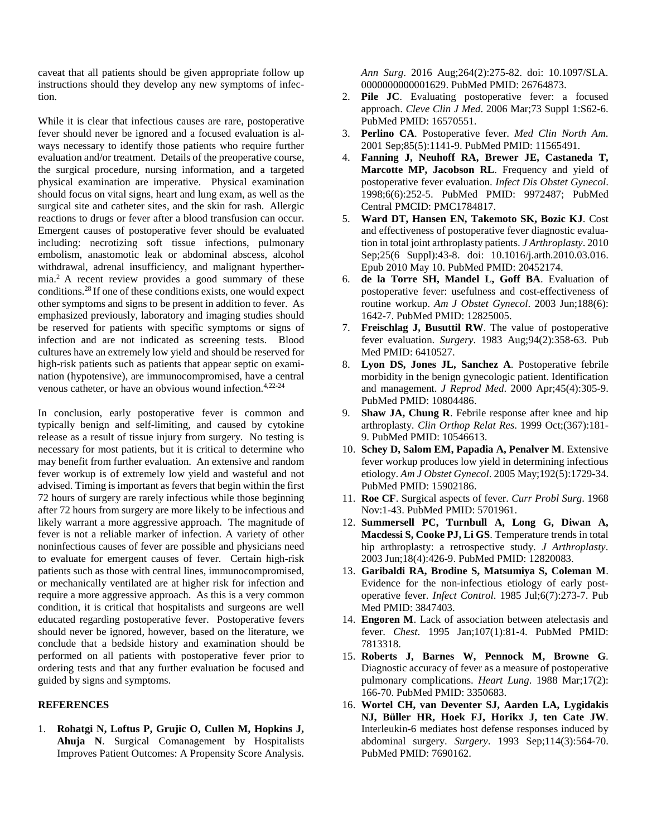caveat that all patients should be given appropriate follow up instructions should they develop any new symptoms of infection.

While it is clear that infectious causes are rare, postoperative fever should never be ignored and a focused evaluation is always necessary to identify those patients who require further evaluation and/or treatment. Details of the preoperative course, the surgical procedure, nursing information, and a targeted physical examination are imperative. Physical examination should focus on vital signs, heart and lung exam, as well as the surgical site and catheter sites, and the skin for rash. Allergic reactions to drugs or fever after a blood transfusion can occur. Emergent causes of postoperative fever should be evaluated including: necrotizing soft tissue infections, pulmonary embolism, anastomotic leak or abdominal abscess, alcohol withdrawal, adrenal insufficiency, and malignant hyperthermia.2 A recent review provides a good summary of these conditions.28 If one of these conditions exists, one would expect other symptoms and signs to be present in addition to fever. As emphasized previously, laboratory and imaging studies should be reserved for patients with specific symptoms or signs of infection and are not indicated as screening tests. Blood cultures have an extremely low yield and should be reserved for high-risk patients such as patients that appear septic on examination (hypotensive), are immunocompromised, have a central venous catheter, or have an obvious wound infection.4,22-24

In conclusion, early postoperative fever is common and typically benign and self-limiting, and caused by cytokine release as a result of tissue injury from surgery. No testing is necessary for most patients, but it is critical to determine who may benefit from further evaluation. An extensive and random fever workup is of extremely low yield and wasteful and not advised. Timing is important as fevers that begin within the first 72 hours of surgery are rarely infectious while those beginning after 72 hours from surgery are more likely to be infectious and likely warrant a more aggressive approach. The magnitude of fever is not a reliable marker of infection. A variety of other noninfectious causes of fever are possible and physicians need to evaluate for emergent causes of fever. Certain high-risk patients such as those with central lines, immunocompromised, or mechanically ventilated are at higher risk for infection and require a more aggressive approach. As this is a very common condition, it is critical that hospitalists and surgeons are well educated regarding postoperative fever. Postoperative fevers should never be ignored, however, based on the literature, we conclude that a bedside history and examination should be performed on all patients with postoperative fever prior to ordering tests and that any further evaluation be focused and guided by signs and symptoms.

## **REFERENCES**

1. **Rohatgi N, Loftus P, Grujic O, Cullen M, Hopkins J, Ahuja N**. Surgical Comanagement by Hospitalists Improves Patient Outcomes: A Propensity Score Analysis. *Ann Surg*. 2016 Aug;264(2):275-82. doi: 10.1097/SLA. 0000000000001629. PubMed PMID: 26764873.

- 2. **Pile JC**. Evaluating postoperative fever: a focused approach. *Cleve Clin J Med*. 2006 Mar;73 Suppl 1:S62-6. PubMed PMID: 16570551.
- 3. **Perlino CA**. Postoperative fever. *Med Clin North Am*. 2001 Sep;85(5):1141-9. PubMed PMID: 11565491.
- 4. **Fanning J, Neuhoff RA, Brewer JE, Castaneda T, Marcotte MP, Jacobson RL**. Frequency and yield of postoperative fever evaluation. *Infect Dis Obstet Gynecol*. 1998;6(6):252-5. PubMed PMID: 9972487; PubMed Central PMCID: PMC1784817.
- 5. **Ward DT, Hansen EN, Takemoto SK, Bozic KJ**. Cost and effectiveness of postoperative fever diagnostic evaluation in total joint arthroplasty patients. *J Arthroplasty*. 2010 Sep;25(6 Suppl):43-8. doi: 10.1016/j.arth.2010.03.016. Epub 2010 May 10. PubMed PMID: 20452174.
- 6. **de la Torre SH, Mandel L, Goff BA**. Evaluation of postoperative fever: usefulness and cost-effectiveness of routine workup. *Am J Obstet Gynecol*. 2003 Jun;188(6): 1642-7. PubMed PMID: 12825005.
- 7. **Freischlag J, Busuttil RW**. The value of postoperative fever evaluation. *Surgery*. 1983 Aug;94(2):358-63. Pub Med PMID: 6410527.
- 8. **Lyon DS, Jones JL, Sanchez A**. Postoperative febrile morbidity in the benign gynecologic patient. Identification and management. *J Reprod Med*. 2000 Apr;45(4):305-9. PubMed PMID: 10804486.
- 9. **Shaw JA, Chung R**. Febrile response after knee and hip arthroplasty. *Clin Orthop Relat Res*. 1999 Oct;(367):181- 9. PubMed PMID: 10546613.
- 10. **Schey D, Salom EM, Papadia A, Penalver M**. Extensive fever workup produces low yield in determining infectious etiology. *Am J Obstet Gynecol*. 2005 May;192(5):1729-34. PubMed PMID: 15902186.
- 11. **Roe CF**. Surgical aspects of fever. *Curr Probl Surg*. 1968 Nov:1-43. PubMed PMID: 5701961.
- 12. **Summersell PC, Turnbull A, Long G, Diwan A, Macdessi S, Cooke PJ, Li GS**. Temperature trends in total hip arthroplasty: a retrospective study. *J Arthroplasty*. 2003 Jun;18(4):426-9. PubMed PMID: 12820083.
- 13. **Garibaldi RA, Brodine S, Matsumiya S, Coleman M**. Evidence for the non-infectious etiology of early postoperative fever. *Infect Control*. 1985 Jul;6(7):273-7. Pub Med PMID: 3847403.
- 14. **Engoren M**. Lack of association between atelectasis and fever. *Chest*. 1995 Jan;107(1):81-4. PubMed PMID: 7813318.
- 15. **Roberts J, Barnes W, Pennock M, Browne G**. Diagnostic accuracy of fever as a measure of postoperative pulmonary complications. *Heart Lung*. 1988 Mar;17(2): 166-70. PubMed PMID: 3350683.
- 16. **Wortel CH, van Deventer SJ, Aarden LA, Lygidakis NJ, Büller HR, Hoek FJ, Horikx J, ten Cate JW**. Interleukin-6 mediates host defense responses induced by abdominal surgery. *Surgery*. 1993 Sep;114(3):564-70. PubMed PMID: 7690162.